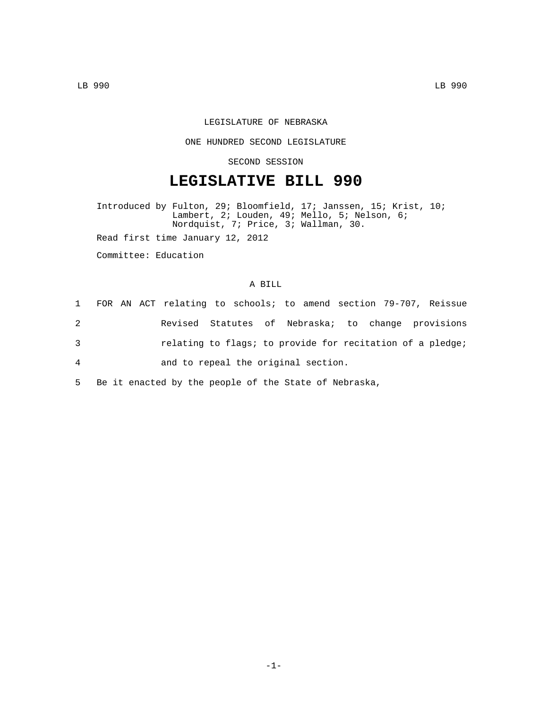## LEGISLATURE OF NEBRASKA

## ONE HUNDRED SECOND LEGISLATURE

## SECOND SESSION

# **LEGISLATIVE BILL 990**

Introduced by Fulton, 29; Bloomfield, 17; Janssen, 15; Krist, 10; Lambert, 2; Louden, 49; Mello, 5; Nelson, 6; Nordquist, 7; Price, 3; Wallman, 30.

Read first time January 12, 2012

Committee: Education

#### A BILL

|                | 1 FOR AN ACT relating to schools; to amend section 79-707, Reissue |  |  |
|----------------|--------------------------------------------------------------------|--|--|
| 2              | Revised Statutes of Nebraska; to change provisions                 |  |  |
| 3              | relating to flags; to provide for recitation of a pledge;          |  |  |
| $\overline{4}$ | and to repeal the original section.                                |  |  |
| $5 -$          | Be it enacted by the people of the State of Nebraska,              |  |  |